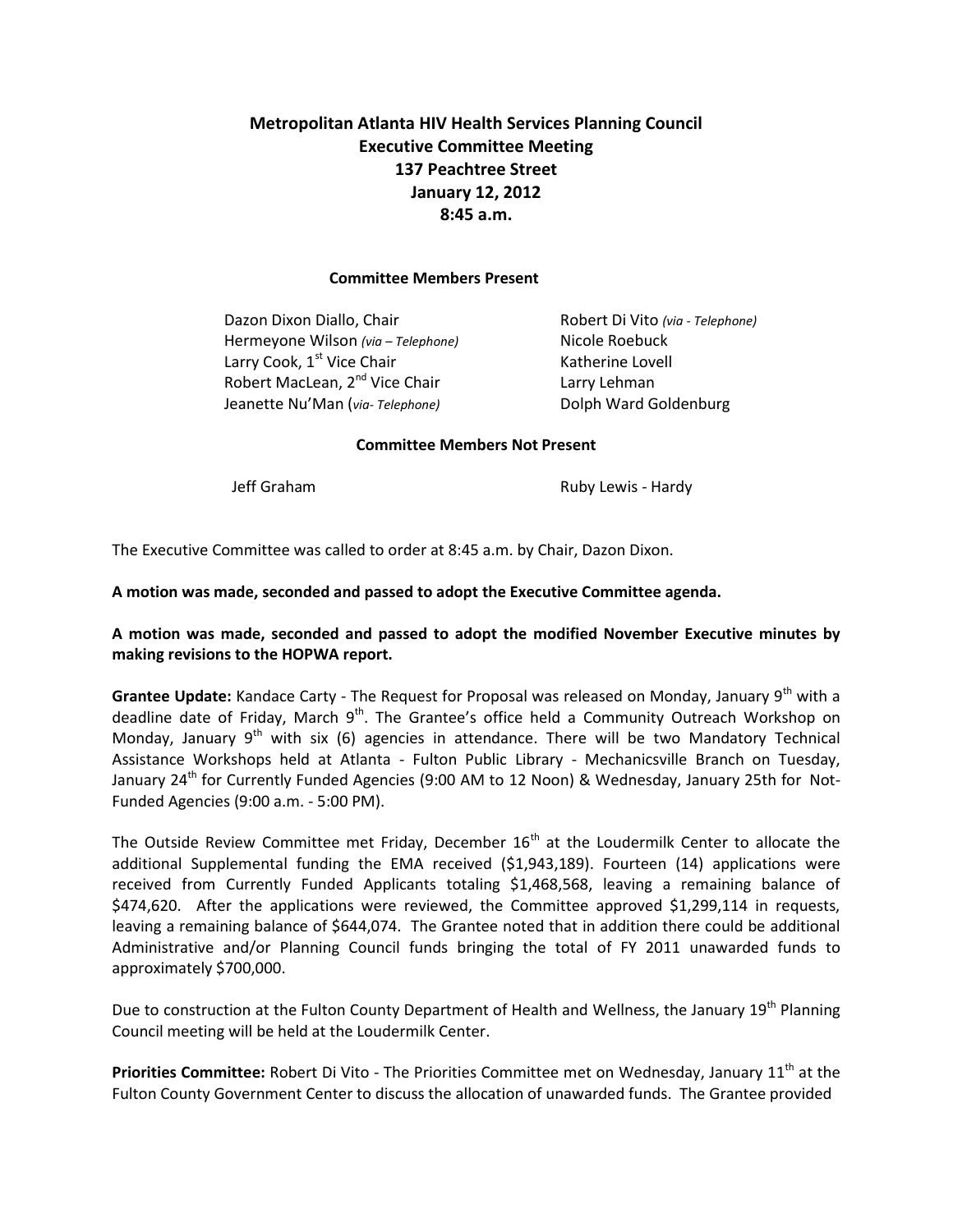# **Metropolitan Atlanta HIV Health Services Planning Council Executive Committee Meeting 137 Peachtree Street January 12, 2012 8:45 a.m.**

#### **Committee Members Present**

Dazon Dixon Diallo, Chair Robert Di Vito *(via - Telephone)* Hermeyone Wilson *(via – Telephone)* Nicole Roebuck Larry Cook, 1<sup>st</sup> Vice Chair Katherine Lovell Robert MacLean, 2<sup>nd</sup> Vice Chair **Larry Lehman** Jeanette Nu'Man (*via- Telephone)* Dolph Ward Goldenburg

#### **Committee Members Not Present**

Jeff Graham **Ruby Lewis - Hardy** 

The Executive Committee was called to order at 8:45 a.m. by Chair, Dazon Dixon.

#### **A motion was made, seconded and passed to adopt the Executive Committee agenda.**

## **A motion was made, seconded and passed to adopt the modified November Executive minutes by making revisions to the HOPWA report.**

**Grantee Update:** Kandace Carty - The Request for Proposal was released on Monday, January 9<sup>th</sup> with a deadline date of Friday, March  $9<sup>th</sup>$ . The Grantee's office held a Community Outreach Workshop on Monday, January  $9<sup>th</sup>$  with six (6) agencies in attendance. There will be two Mandatory Technical Assistance Workshops held at Atlanta - Fulton Public Library - Mechanicsville Branch on Tuesday, January 24<sup>th</sup> for Currently Funded Agencies (9:00 AM to 12 Noon) & Wednesday, January 25th for Not-Funded Agencies (9:00 a.m. - 5:00 PM).

The Outside Review Committee met Friday, December  $16<sup>th</sup>$  at the Loudermilk Center to allocate the additional Supplemental funding the EMA received (\$1,943,189). Fourteen (14) applications were received from Currently Funded Applicants totaling \$1,468,568, leaving a remaining balance of \$474,620. After the applications were reviewed, the Committee approved \$1,299,114 in requests, leaving a remaining balance of \$644,074. The Grantee noted that in addition there could be additional Administrative and/or Planning Council funds bringing the total of FY 2011 unawarded funds to approximately \$700,000.

Due to construction at the Fulton County Department of Health and Wellness, the January 19<sup>th</sup> Planning Council meeting will be held at the Loudermilk Center.

**Priorities Committee:** Robert Di Vito - The Priorities Committee met on Wednesday, January 11<sup>th</sup> at the Fulton County Government Center to discuss the allocation of unawarded funds. The Grantee provided